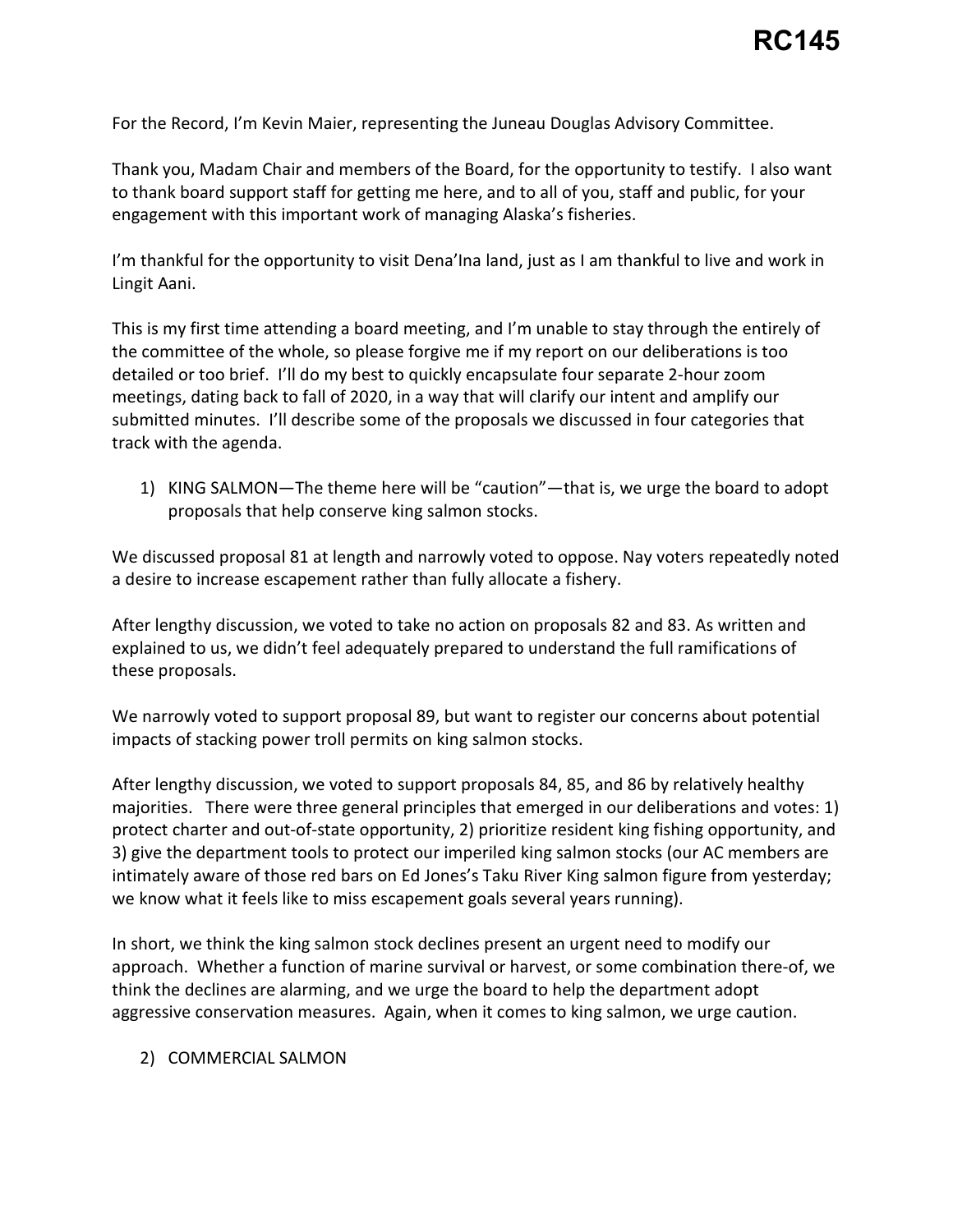For the Record, I'm Kevin Maier, representing the Juneau Douglas Advisory Committee.

For the Record, I'm Kevin Maier, representing the Juneau Douglas Advisory Committee.<br>Thank you, Madam Chair and members of the Board, for the opportunity to testify. I also want to thank board support staff for getting me here, and to all of you, staff and public, for your engagement with this important work of managing Alaska's fisheries.

Lingit Aani. I'm thankful for the opportunity to visit Dena'Ina land, just as I am thankful to live and work in

 detailed or too brief. I'll do my best to quickly encapsulate four separate 2-hour zoom meetings, dating back to fall of 2020, in a way that will clarify our intent and amplify our track with the agenda. This is my first time attending a board meeting, and I'm unable to stay through the entirely of the committee of the whole, so please forgive me if my report on our deliberations is too submitted minutes. I'll describe some of the proposals we discussed in four categories that

track with the agenda.<br>1) KING SALMON—The theme here will be "caution"—that is, we urge the board to adopt proposals that help conserve king salmon stocks.

 a desire to increase escapement rather than fully allocate a fishery. We discussed proposal 81 at length and narrowly voted to oppose. Nay voters repeatedly noted

 explained to us, we didn't feel adequately prepared to understand the full ramifications of these proposals. After lengthy discussion, we voted to take no action on proposals 82 and 83. As written and

 We narrowly voted to support proposal 89, but want to register our concerns about potential impacts of stacking power troll permits on king salmon stocks.

impacts of stacking power troll permits on king salmon stocks.<br>After lengthy discussion, we voted to support proposals 84, 85, and 86 by relatively healthy majorities. There were three general principles that emerged in our deliberations and votes: 1) protect charter and out-of-state opportunity, 2) prioritize resident king fishing opportunity, and intimately aware of those red bars on Ed Jones's Taku River King salmon figure from yesterday; we know what it feels like to miss escapement goals several years running). 3) give the department tools to protect our imperiled king salmon stocks (our AC members are

 think the declines are alarming, and we urge the board to help the department adopt aggressive conservation measures. Again, when it comes to king salmon, we urge caution. In short, we think the king salmon stock declines present an urgent need to modify our approach. Whether a function of marine survival or harvest, or some combination there-of, we

## 2) COMMERCIAL SALMON